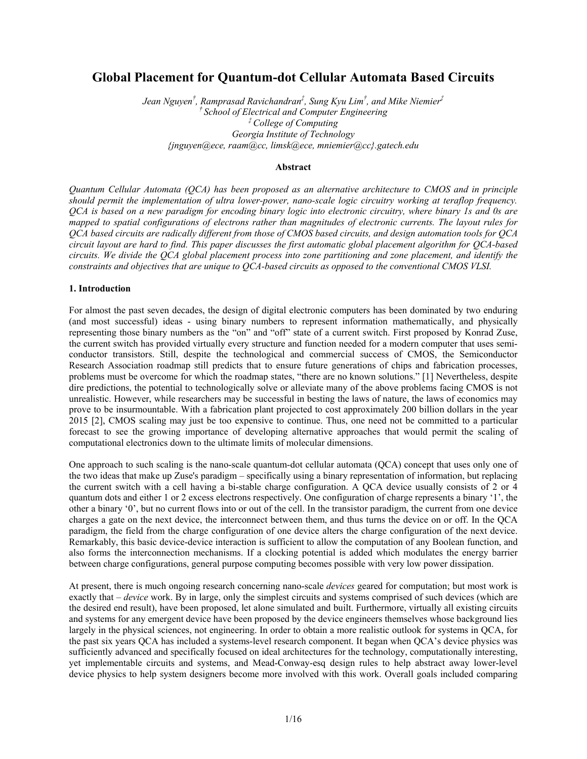# **Global Placement for Quantum-dot Cellular Automata Based Circuits**

*Jean Nguyen† , Ramprasad Ravichandran‡ , Sung Kyu Lim† , and Mike Niemier‡ † School of Electrical and Computer Engineering ‡ College of Computing Georgia Institute of Technology {jnguyen@ece, raam@cc, limsk@ece, mniemier@cc}.gatech.edu* 

# **Abstract**

*Quantum Cellular Automata (QCA) has been proposed as an alternative architecture to CMOS and in principle should permit the implementation of ultra lower-power, nano-scale logic circuitry working at teraflop frequency. QCA is based on a new paradigm for encoding binary logic into electronic circuitry, where binary 1s and 0s are mapped to spatial configurations of electrons rather than magnitudes of electronic currents. The layout rules for QCA based circuits are radically different from those of CMOS based circuits, and design automation tools for QCA circuit layout are hard to find. This paper discusses the first automatic global placement algorithm for QCA-based circuits. We divide the QCA global placement process into zone partitioning and zone placement, and identify the constraints and objectives that are unique to QCA-based circuits as opposed to the conventional CMOS VLSI.* 

# **1. Introduction**

For almost the past seven decades, the design of digital electronic computers has been dominated by two enduring (and most successful) ideas - using binary numbers to represent information mathematically, and physically representing those binary numbers as the "on" and "off" state of a current switch. First proposed by Konrad Zuse, the current switch has provided virtually every structure and function needed for a modern computer that uses semiconductor transistors. Still, despite the technological and commercial success of CMOS, the Semiconductor Research Association roadmap still predicts that to ensure future generations of chips and fabrication processes, problems must be overcome for which the roadmap states, "there are no known solutions." [1] Nevertheless, despite dire predictions, the potential to technologically solve or alleviate many of the above problems facing CMOS is not unrealistic. However, while researchers may be successful in besting the laws of nature, the laws of economics may prove to be insurmountable. With a fabrication plant projected to cost approximately 200 billion dollars in the year 2015 [2], CMOS scaling may just be too expensive to continue. Thus, one need not be committed to a particular forecast to see the growing importance of developing alternative approaches that would permit the scaling of computational electronics down to the ultimate limits of molecular dimensions.

One approach to such scaling is the nano-scale quantum-dot cellular automata (QCA) concept that uses only one of the two ideas that make up Zuse's paradigm – specifically using a binary representation of information, but replacing the current switch with a cell having a bi-stable charge configuration. A QCA device usually consists of 2 or 4 quantum dots and either 1 or 2 excess electrons respectively. One configuration of charge represents a binary '1', the other a binary '0', but no current flows into or out of the cell. In the transistor paradigm, the current from one device charges a gate on the next device, the interconnect between them, and thus turns the device on or off. In the QCA paradigm, the field from the charge configuration of one device alters the charge configuration of the next device. Remarkably, this basic device-device interaction is sufficient to allow the computation of any Boolean function, and also forms the interconnection mechanisms. If a clocking potential is added which modulates the energy barrier between charge configurations, general purpose computing becomes possible with very low power dissipation.

At present, there is much ongoing research concerning nano-scale *devices* geared for computation; but most work is exactly that – *device* work. By in large, only the simplest circuits and systems comprised of such devices (which are the desired end result), have been proposed, let alone simulated and built. Furthermore, virtually all existing circuits and systems for any emergent device have been proposed by the device engineers themselves whose background lies largely in the physical sciences, not engineering. In order to obtain a more realistic outlook for systems in QCA, for the past six years QCA has included a systems-level research component. It began when QCA's device physics was sufficiently advanced and specifically focused on ideal architectures for the technology, computationally interesting, yet implementable circuits and systems, and Mead-Conway-esq design rules to help abstract away lower-level device physics to help system designers become more involved with this work. Overall goals included comparing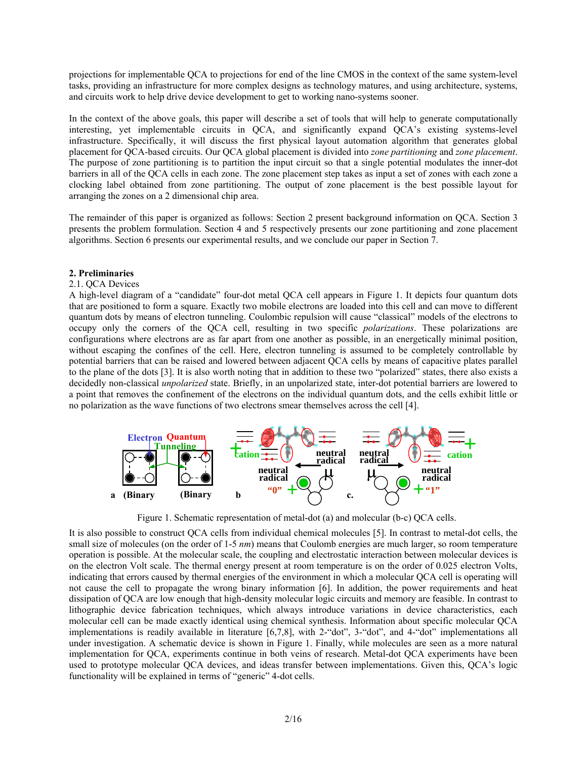projections for implementable QCA to projections for end of the line CMOS in the context of the same system-level tasks, providing an infrastructure for more complex designs as technology matures, and using architecture, systems, and circuits work to help drive device development to get to working nano-systems sooner.

In the context of the above goals, this paper will describe a set of tools that will help to generate computationally interesting, yet implementable circuits in QCA, and significantly expand QCA's existing systems-level infrastructure. Specifically, it will discuss the first physical layout automation algorithm that generates global placement for QCA-based circuits. Our QCA global placement is divided into *zone partitioning* and *zone placement*. The purpose of zone partitioning is to partition the input circuit so that a single potential modulates the inner-dot barriers in all of the QCA cells in each zone. The zone placement step takes as input a set of zones with each zone a clocking label obtained from zone partitioning. The output of zone placement is the best possible layout for arranging the zones on a 2 dimensional chip area.

The remainder of this paper is organized as follows: Section 2 present background information on QCA. Section 3 presents the problem formulation. Section 4 and 5 respectively presents our zone partitioning and zone placement algorithms. Section 6 presents our experimental results, and we conclude our paper in Section 7.

## **2. Preliminaries**

## 2.1. QCA Devices

A high-level diagram of a "candidate" four-dot metal QCA cell appears in Figure 1. It depicts four quantum dots that are positioned to form a square. Exactly two mobile electrons are loaded into this cell and can move to different quantum dots by means of electron tunneling. Coulombic repulsion will cause "classical" models of the electrons to occupy only the corners of the QCA cell, resulting in two specific *polarizations*. These polarizations are configurations where electrons are as far apart from one another as possible, in an energetically minimal position, without escaping the confines of the cell. Here, electron tunneling is assumed to be completely controllable by potential barriers that can be raised and lowered between adjacent QCA cells by means of capacitive plates parallel to the plane of the dots [3]. It is also worth noting that in addition to these two "polarized" states, there also exists a decidedly non-classical *unpolarized* state. Briefly, in an unpolarized state, inter-dot potential barriers are lowered to a point that removes the confinement of the electrons on the individual quantum dots, and the cells exhibit little or no polarization as the wave functions of two electrons smear themselves across the cell [4].



Figure 1. Schematic representation of metal-dot (a) and molecular (b-c) QCA cells.

It is also possible to construct QCA cells from individual chemical molecules [5]. In contrast to metal-dot cells, the small size of molecules (on the order of 1-5 *nm*) means that Coulomb energies are much larger, so room temperature operation is possible. At the molecular scale, the coupling and electrostatic interaction between molecular devices is on the electron Volt scale. The thermal energy present at room temperature is on the order of 0.025 electron Volts, indicating that errors caused by thermal energies of the environment in which a molecular QCA cell is operating will not cause the cell to propagate the wrong binary information [6]. In addition, the power requirements and heat dissipation of QCA are low enough that high-density molecular logic circuits and memory are feasible. In contrast to lithographic device fabrication techniques, which always introduce variations in device characteristics, each molecular cell can be made exactly identical using chemical synthesis. Information about specific molecular QCA implementations is readily available in literature [6,7,8], with 2-"dot", 3-"dot", and 4-"dot" implementations all under investigation. A schematic device is shown in Figure 1. Finally, while molecules are seen as a more natural implementation for QCA, experiments continue in both veins of research. Metal-dot QCA experiments have been used to prototype molecular QCA devices, and ideas transfer between implementations. Given this, QCA's logic functionality will be explained in terms of "generic" 4-dot cells.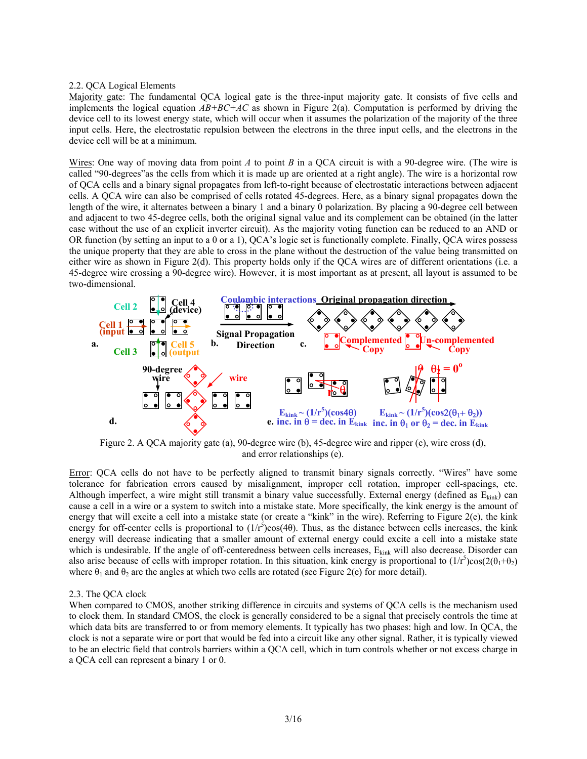#### 2.2. QCA Logical Elements

Majority gate: The fundamental QCA logical gate is the three-input majority gate. It consists of five cells and implements the logical equation *AB+BC+AC* as shown in Figure 2(a). Computation is performed by driving the device cell to its lowest energy state, which will occur when it assumes the polarization of the majority of the three input cells. Here, the electrostatic repulsion between the electrons in the three input cells, and the electrons in the device cell will be at a minimum.

Wires: One way of moving data from point *A* to point *B* in a QCA circuit is with a 90-degree wire. (The wire is called "90-degrees"as the cells from which it is made up are oriented at a right angle). The wire is a horizontal row of QCA cells and a binary signal propagates from left-to-right because of electrostatic interactions between adjacent cells. A QCA wire can also be comprised of cells rotated 45-degrees. Here, as a binary signal propagates down the length of the wire, it alternates between a binary 1 and a binary 0 polarization. By placing a 90-degree cell between and adjacent to two 45-degree cells, both the original signal value and its complement can be obtained (in the latter case without the use of an explicit inverter circuit). As the majority voting function can be reduced to an AND or OR function (by setting an input to a 0 or a 1), QCA's logic set is functionally complete. Finally, QCA wires possess the unique property that they are able to cross in the plane without the destruction of the value being transmitted on either wire as shown in Figure 2(d). This property holds only if the QCA wires are of different orientations (i.e. a 45-degree wire crossing a 90-degree wire). However, it is most important as at present, all layout is assumed to be two-dimensional.



Figure 2. A QCA majority gate (a), 90-degree wire (b), 45-degree wire and ripper (c), wire cross (d), and error relationships (e).

Error: QCA cells do not have to be perfectly aligned to transmit binary signals correctly. "Wires" have some tolerance for fabrication errors caused by misalignment, improper cell rotation, improper cell-spacings, etc. Although imperfect, a wire might still transmit a binary value successfully. External energy (defined as  $E_{kink}$ ) can cause a cell in a wire or a system to switch into a mistake state. More specifically, the kink energy is the amount of energy that will excite a cell into a mistake state (or create a "kink" in the wire). Referring to Figure 2(e), the kink energy for off-center cells is proportional to  $(1/r^5)cos(4\theta)$ . Thus, as the distance between cells increases, the kink energy will decrease indicating that a smaller amount of external energy could excite a cell into a mistake state which is undesirable. If the angle of off-centeredness between cells increases, E<sub>kink</sub> will also decrease. Disorder can also arise because of cells with improper rotation. In this situation, kink energy is proportional to  $(1/r^5)\cos(2(\theta_1+\theta_2))$ where  $\theta_1$  and  $\theta_2$  are the angles at which two cells are rotated (see Figure 2(e) for more detail).

#### 2.3. The QCA clock

When compared to CMOS, another striking difference in circuits and systems of QCA cells is the mechanism used to clock them. In standard CMOS, the clock is generally considered to be a signal that precisely controls the time at which data bits are transferred to or from memory elements. It typically has two phases: high and low. In QCA, the clock is not a separate wire or port that would be fed into a circuit like any other signal. Rather, it is typically viewed to be an electric field that controls barriers within a QCA cell, which in turn controls whether or not excess charge in a QCA cell can represent a binary 1 or 0.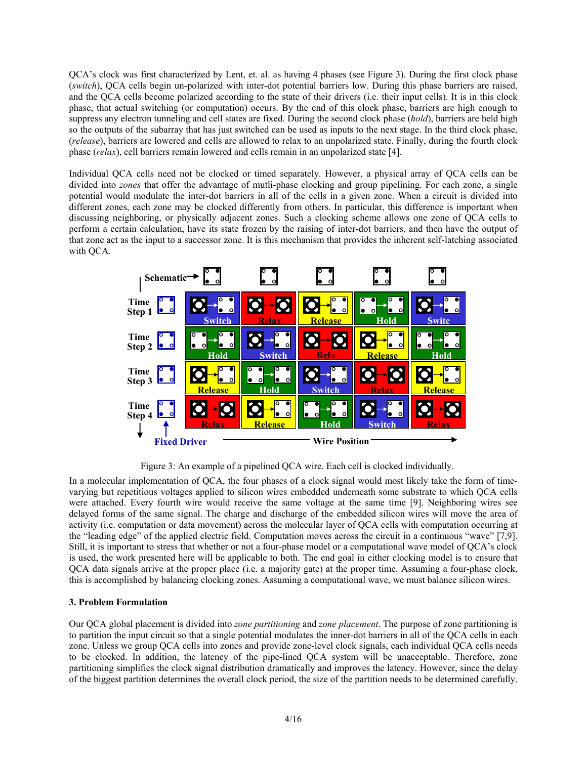QCA's clock was first characterized by Lent, et. al. as having 4 phases (see Figure 3). During the first clock phase (*switch*), QCA cells begin un-polarized with inter-dot potential barriers low. During this phase barriers are raised, and the QCA cells become polarized according to the state of their drivers (i.e. their input cells). It is in this clock phase, that actual switching (or computation) occurs. By the end of this clock phase, barriers are high enough to suppress any electron tunneling and cell states are fixed. During the second clock phase (*hold*), barriers are held high so the outputs of the subarray that has just switched can be used as inputs to the next stage. In the third clock phase, (*release*), barriers are lowered and cells are allowed to relax to an unpolarized state. Finally, during the fourth clock phase (*relax*), cell barriers remain lowered and cells remain in an unpolarized state [4].

Individual QCA cells need not be clocked or timed separately. However, a physical array of QCA cells can be divided into *zones* that offer the advantage of mutli-phase clocking and group pipelining. For each zone, a single potential would modulate the inter-dot barriers in all of the cells in a given zone. When a circuit is divided into different zones, each zone may be clocked differently from others. In particular, this difference is important when discussing neighboring, or physically adjacent zones. Such a clocking scheme allows one zone of QCA cells to perform a certain calculation, have its state frozen by the raising of inter-dot barriers, and then have the output of that zone act as the input to a successor zone. It is this mechanism that provides the inherent self-latching associated with OCA.



Figure 3: An example of a pipelined QCA wire. Each cell is clocked individually.

In a molecular implementation of QCA, the four phases of a clock signal would most likely take the form of timevarying but repetitious voltages applied to silicon wires embedded underneath some substrate to which QCA cells were attached. Every fourth wire would receive the same voltage at the same time [9]. Neighboring wires see delayed forms of the same signal. The charge and discharge of the embedded silicon wires will move the area of activity (i.e. computation or data movement) across the molecular layer of QCA cells with computation occurring at the "leading edge" of the applied electric field. Computation moves across the circuit in a continuous "wave" [7,9]. Still, it is important to stress that whether or not a four-phase model or a computational wave model of QCA's clock is used, the work presented here will be applicable to both. The end goal in either clocking model is to ensure that QCA data signals arrive at the proper place (i.e. a majority gate) at the proper time. Assuming a four-phase clock, this is accomplished by balancing clocking zones. Assuming a computational wave, we must balance silicon wires.

# **3. Problem Formulation**

Our QCA global placement is divided into *zone partitioning* and *zone placement*. The purpose of zone partitioning is to partition the input circuit so that a single potential modulates the inner-dot barriers in all of the QCA cells in each zone. Unless we group QCA cells into zones and provide zone-level clock signals, each individual QCA cells needs to be clocked. In addition, the latency of the pipe-lined QCA system will be unacceptable. Therefore, zone partitioning simplifies the clock signal distribution dramatically and improves the latency. However, since the delay of the biggest partition determines the overall clock period, the size of the partition needs to be determined carefully.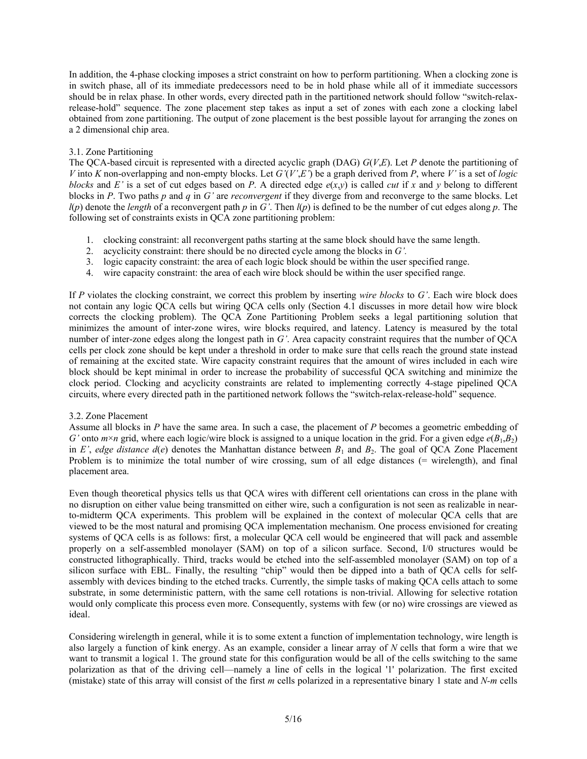In addition, the 4-phase clocking imposes a strict constraint on how to perform partitioning. When a clocking zone is in switch phase, all of its immediate predecessors need to be in hold phase while all of it immediate successors should be in relax phase. In other words, every directed path in the partitioned network should follow "switch-relaxrelease-hold" sequence. The zone placement step takes as input a set of zones with each zone a clocking label obtained from zone partitioning. The output of zone placement is the best possible layout for arranging the zones on a 2 dimensional chip area.

# 3.1. Zone Partitioning

The QCA-based circuit is represented with a directed acyclic graph (DAG) *G*(*V*,*E*). Let *P* denote the partitioning of *V* into *K* non-overlapping and non-empty blocks. Let  $G'(V', E')$  be a graph derived from *P*, where *V'* is a set of *logic blocks* and *E'* is a set of cut edges based on *P*. A directed edge  $e(x, y)$  is called *cut* if *x* and *y* belong to different blocks in *P*. Two paths *p* and *q* in *G'* are *reconvergent* if they diverge from and reconverge to the same blocks. Let  $l(p)$  denote the *length* of a reconvergent path *p* in *G'*. Then  $l(p)$  is defined to be the number of cut edges along *p*. The following set of constraints exists in QCA zone partitioning problem:

- 1. clocking constraint: all reconvergent paths starting at the same block should have the same length.
- 2. acyclicity constraint: there should be no directed cycle among the blocks in *G'.*
- 3. logic capacity constraint: the area of each logic block should be within the user specified range.
- 4. wire capacity constraint: the area of each wire block should be within the user specified range.

If *P* violates the clocking constraint, we correct this problem by inserting *wire blocks* to *G'*. Each wire block does not contain any logic QCA cells but wiring QCA cells only (Section 4.1 discusses in more detail how wire block corrects the clocking problem). The QCA Zone Partitioning Problem seeks a legal partitioning solution that minimizes the amount of inter-zone wires, wire blocks required, and latency. Latency is measured by the total number of inter-zone edges along the longest path in *G'*. Area capacity constraint requires that the number of QCA cells per clock zone should be kept under a threshold in order to make sure that cells reach the ground state instead of remaining at the excited state. Wire capacity constraint requires that the amount of wires included in each wire block should be kept minimal in order to increase the probability of successful QCA switching and minimize the clock period. Clocking and acyclicity constraints are related to implementing correctly 4-stage pipelined QCA circuits, where every directed path in the partitioned network follows the "switch-relax-release-hold" sequence.

# 3.2. Zone Placement

Assume all blocks in *P* have the same area. In such a case, the placement of *P* becomes a geometric embedding of *G*' onto  $m \times n$  grid, where each logic/wire block is assigned to a unique location in the grid. For a given edge  $e(B_1, B_2)$ in *E'*, *edge distance*  $d(e)$  denotes the Manhattan distance between  $B_1$  and  $B_2$ . The goal of QCA Zone Placement Problem is to minimize the total number of wire crossing, sum of all edge distances (= wirelength), and final placement area.

Even though theoretical physics tells us that QCA wires with different cell orientations can cross in the plane with no disruption on either value being transmitted on either wire, such a configuration is not seen as realizable in nearto-midterm QCA experiments. This problem will be explained in the context of molecular QCA cells that are viewed to be the most natural and promising QCA implementation mechanism. One process envisioned for creating systems of QCA cells is as follows: first, a molecular QCA cell would be engineered that will pack and assemble properly on a self-assembled monolayer (SAM) on top of a silicon surface. Second, I/0 structures would be constructed lithographically. Third, tracks would be etched into the self-assembled monolayer (SAM) on top of a silicon surface with EBL. Finally, the resulting "chip" would then be dipped into a bath of QCA cells for selfassembly with devices binding to the etched tracks. Currently, the simple tasks of making QCA cells attach to some substrate, in some deterministic pattern, with the same cell rotations is non-trivial. Allowing for selective rotation would only complicate this process even more. Consequently, systems with few (or no) wire crossings are viewed as ideal.

Considering wirelength in general, while it is to some extent a function of implementation technology, wire length is also largely a function of kink energy. As an example, consider a linear array of *N* cells that form a wire that we want to transmit a logical 1. The ground state for this configuration would be all of the cells switching to the same polarization as that of the driving cell—namely a line of cells in the logical '1' polarization. The first excited (mistake) state of this array will consist of the first *m* cells polarized in a representative binary 1 state and *N-m* cells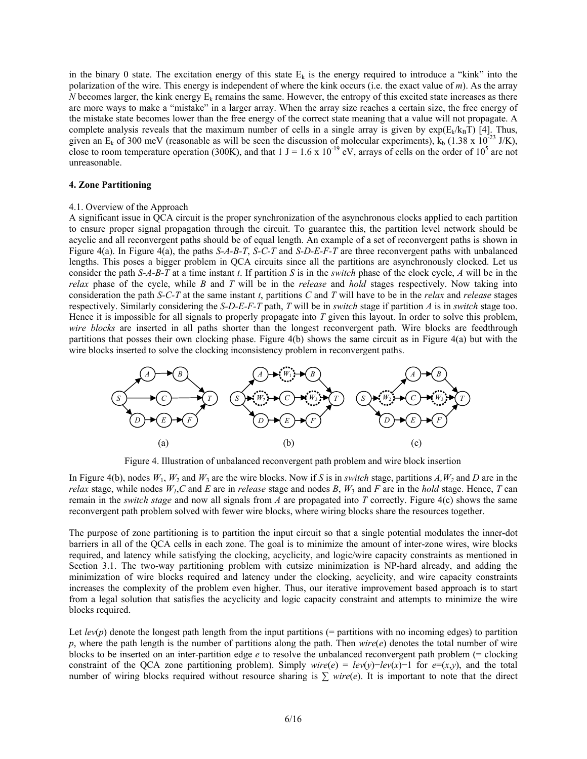in the binary 0 state. The excitation energy of this state  $E_k$  is the energy required to introduce a "kink" into the polarization of the wire. This energy is independent of where the kink occurs (i.e. the exact value of *m*). As the array *N* becomes larger, the kink energy  $E_k$  remains the same. However, the entropy of this excited state increases as there are more ways to make a "mistake" in a larger array. When the array size reaches a certain size, the free energy of the mistake state becomes lower than the free energy of the correct state meaning that a value will not propagate. A complete analysis reveals that the maximum number of cells in a single array is given by  $\exp(E_k/k_BT)$  [4]. Thus, given an E<sub>k</sub> of 300 meV (reasonable as will be seen the discussion of molecular experiments),  $k_b$  (1.38 x 10<sup>-23</sup> J/K), close to room temperature operation (300K), and that  $1 J = 1.6 \times 10^{-19}$  eV, arrays of cells on the order of  $10^5$  are not unreasonable.

# **4. Zone Partitioning**

#### 4.1. Overview of the Approach

A significant issue in QCA circuit is the proper synchronization of the asynchronous clocks applied to each partition to ensure proper signal propagation through the circuit. To guarantee this, the partition level network should be acyclic and all reconvergent paths should be of equal length. An example of a set of reconvergent paths is shown in Figure 4(a). In Figure 4(a), the paths *S-A-B-T*, *S-C-T* and *S-D-E-F-T* are three reconvergent paths with unbalanced lengths. This poses a bigger problem in QCA circuits since all the partitions are asynchronously clocked. Let us consider the path *S-A-B-T* at a time instant *t*. If partition *S* is in the *switch* phase of the clock cycle, *A* will be in the *relax* phase of the cycle, while *B* and *T* will be in the *release* and *hold* stages respectively. Now taking into consideration the path *S-C-T* at the same instant *t*, partitions *C* and *T* will have to be in the *relax* and *release* stages respectively. Similarly considering the *S-D-E-F-T* path, *T* will be in *switch* stage if partition *A* is in *switch* stage too. Hence it is impossible for all signals to properly propagate into *T* given this layout. In order to solve this problem, *wire blocks* are inserted in all paths shorter than the longest reconvergent path. Wire blocks are feedthrough partitions that posses their own clocking phase. Figure 4(b) shows the same circuit as in Figure 4(a) but with the wire blocks inserted to solve the clocking inconsistency problem in reconvergent paths.



Figure 4. Illustration of unbalanced reconvergent path problem and wire block insertion

In Figure 4(b), nodes  $W_1$ ,  $W_2$  and  $W_3$  are the wire blocks. Now if *S* is in *switch* stage, partitions  $A, W_2$  and *D* are in the *relax* stage, while nodes *W1*,*C* and *E* are in *release* stage and nodes *B*, *W*3 and *F* are in the *hold* stage. Hence, *T* can remain in the *switch stage* and now all signals from *A* are propagated into *T* correctly. Figure 4(c) shows the same reconvergent path problem solved with fewer wire blocks, where wiring blocks share the resources together.

The purpose of zone partitioning is to partition the input circuit so that a single potential modulates the inner-dot barriers in all of the QCA cells in each zone. The goal is to minimize the amount of inter-zone wires, wire blocks required, and latency while satisfying the clocking, acyclicity, and logic/wire capacity constraints as mentioned in Section 3.1. The two-way partitioning problem with cutsize minimization is NP-hard already, and adding the minimization of wire blocks required and latency under the clocking, acyclicity, and wire capacity constraints increases the complexity of the problem even higher. Thus, our iterative improvement based approach is to start from a legal solution that satisfies the acyclicity and logic capacity constraint and attempts to minimize the wire blocks required.

Let  $lev(p)$  denote the longest path length from the input partitions (= partitions with no incoming edges) to partition *p*, where the path length is the number of partitions along the path. Then *wire*(*e*) denotes the total number of wire blocks to be inserted on an inter-partition edge *e* to resolve the unbalanced reconvergent path problem (= clocking constraint of the QCA zone partitioning problem). Simply *wire*(*e*) = *lev*(*y*)−*lev*(*x*)−1 for *e*=(*x*,*y*), and the total number of wiring blocks required without resource sharing is ∑ *wire*(*e*). It is important to note that the direct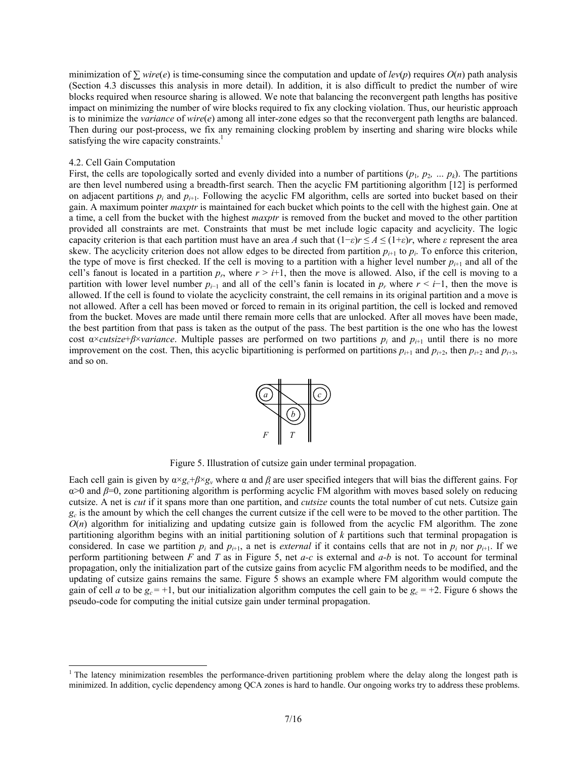minimization of  $\sum$  *wire*(*e*) is time-consuming since the computation and update of *lev*(*p*) requires *O*(*n*) path analysis (Section 4.3 discusses this analysis in more detail). In addition, it is also difficult to predict the number of wire blocks required when resource sharing is allowed. We note that balancing the reconvergent path lengths has positive impact on minimizing the number of wire blocks required to fix any clocking violation. Thus, our heuristic approach is to minimize the *variance* of *wire*(*e*) among all inter-zone edges so that the reconvergent path lengths are balanced. Then during our post-process, we fix any remaining clocking problem by inserting and sharing wire blocks while satisfying the wire capacity constraints.<sup>1</sup>

# 4.2. Cell Gain Computation

 $\overline{a}$ 

First, the cells are topologically sorted and evenly divided into a number of partitions  $(p_1, p_2, ..., p_k)$ . The partitions are then level numbered using a breadth-first search. Then the acyclic FM partitioning algorithm [12] is performed on adjacent partitions  $p_i$  and  $p_{i+1}$ . Following the acyclic FM algorithm, cells are sorted into bucket based on their gain. A maximum pointer *maxptr* is maintained for each bucket which points to the cell with the highest gain. One at a time, a cell from the bucket with the highest *maxptr* is removed from the bucket and moved to the other partition provided all constraints are met. Constraints that must be met include logic capacity and acyclicity. The logic capacity criterion is that each partition must have an area *A* such that  $(1-\varepsilon)r \leq A \leq (1+\varepsilon)r$ , where  $\varepsilon$  represent the area skew. The acyclicity criterion does not allow edges to be directed from partition  $p_{i+1}$  to  $p_i$ . To enforce this criterion, the type of move is first checked. If the cell is moving to a partition with a higher level number  $p_{i+1}$  and all of the cell's fanout is located in a partition  $p_r$ , where  $r > i+1$ , then the move is allowed. Also, if the cell is moving to a partition with lower level number  $p_{i-1}$  and all of the cell's fanin is located in  $p_r$  where  $r \leq i-1$ , then the move is allowed. If the cell is found to violate the acyclicity constraint, the cell remains in its original partition and a move is not allowed. After a cell has been moved or forced to remain in its original partition, the cell is locked and removed from the bucket. Moves are made until there remain more cells that are unlocked. After all moves have been made, the best partition from that pass is taken as the output of the pass. The best partition is the one who has the lowest cost  $\alpha \times \text{cutsize} + \beta \times \text{variance}$ . Multiple passes are performed on two partitions  $p_i$  and  $p_{i+1}$  until there is no more improvement on the cost. Then, this acyclic bipartitioning is performed on partitions  $p_{i+1}$  and  $p_{i+2}$ , then  $p_{i+2}$  and  $p_{i+3}$ , and so on.



Figure 5. Illustration of cutsize gain under terminal propagation.

Each cell gain is given by  $\alpha \times g_c + \beta \times g_v$ , where  $\alpha$  and  $\beta$  are user specified integers that will bias the different gains. For α>0 and *β*=0, zone partitioning algorithm is performing acyclic FM algorithm with moves based solely on reducing cutsize. A net is *cut* if it spans more than one partition, and *cutsize* counts the total number of cut nets. Cutsize gain  $g_c$  is the amount by which the cell changes the current cutsize if the cell were to be moved to the other partition. The  $O(n)$  algorithm for initializing and updating cutsize gain is followed from the acyclic FM algorithm. The zone partitioning algorithm begins with an initial partitioning solution of *k* partitions such that terminal propagation is considered. In case we partition  $p_i$  and  $p_{i+1}$ , a net is *external* if it contains cells that are not in  $p_i$  nor  $p_{i+1}$ . If we perform partitioning between *F* and *T* as in Figure 5, net *a-c* is external and *a-b* is not. To account for terminal propagation, only the initialization part of the cutsize gains from acyclic FM algorithm needs to be modified, and the updating of cutsize gains remains the same. Figure 5 shows an example where FM algorithm would compute the gain of cell *a* to be  $g_c = +1$ , but our initialization algorithm computes the cell gain to be  $g_c = +2$ . Figure 6 shows the pseudo-code for computing the initial cutsize gain under terminal propagation.

<sup>&</sup>lt;sup>1</sup> The latency minimization resembles the performance-driven partitioning problem where the delay along the longest path is minimized. In addition, cyclic dependency among QCA zones is hard to handle. Our ongoing works try to address these problems.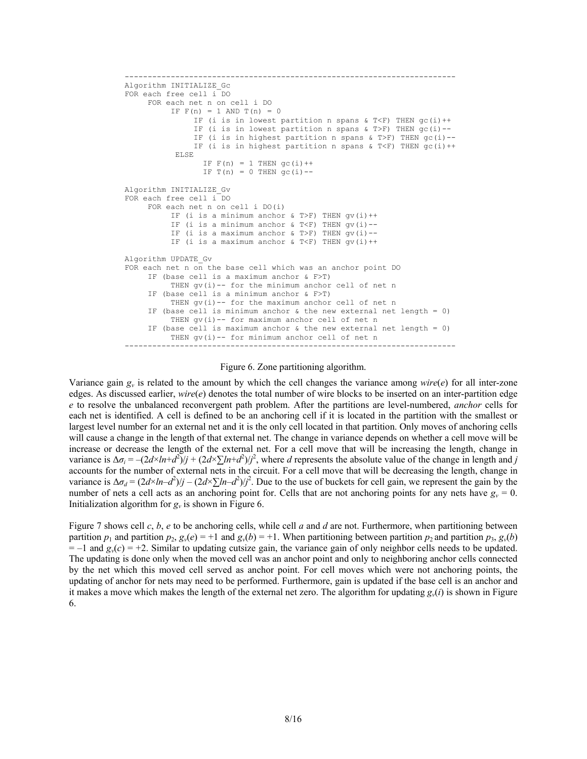```
------------------------------------------------------------------------ 
Algorithm INITIALIZE_Gc 
FOR each free cell i DO
      FOR each net n on cell i DO 
          IF F(n) = 1 AND T(n) = 0 IF (i is in lowest partition n spans & T<F) THEN gc(i)++ 
               IF (i is in lowest partition n spans & T>F) THEN gc(i) --
                IF (i is in highest partition n spans & T>F) THEN gc(i)-- 
               IF (i is in highest partition n spans & T<F) THEN gc(i) ++
            ELSE 
                 IF F(n) = 1 THEN gc(i) ++
                 IF T(n) = 0 THEN qc(i) --
Algorithm INITIALIZE_Gv 
FOR each free cell i DO 
      FOR each net n on cell i DO(i) 
          IF (i is a minimum anchor & T>F) THEN qv(i) ++
          IF (i is a minimum anchor & T<F) THEN qv(i) --
          IF (i is a maximum anchor & T>F) THEN qv(i) --
           IF (i is a maximum anchor & T<F) THEN gv(i)++ 
Algorithm UPDATE_Gv 
FOR each net n on the base cell which was an anchor point DO
      IF (base cell is a maximum anchor & F>T) 
          THEN gv(i) -- for the minimum anchor cell of net n
      IF (base cell is a minimum anchor & F>T) 
          THEN qv(i) -- for the maximum anchor cell of net n
     IF (base cell is minimum anchor \& the new external net length = 0)
           THEN gv(i)-- for maximum anchor cell of net n 
      IF (base cell is maximum anchor & the new external net length = 0) 
           THEN gv(i)-- for minimum anchor cell of net n 
------------------------------------------------------------------------
```
#### Figure 6. Zone partitioning algorithm.

Variance gain  $g_y$  is related to the amount by which the cell changes the variance among *wire*(*e*) for all inter-zone edges. As discussed earlier, *wire*(*e*) denotes the total number of wire blocks to be inserted on an inter-partition edge *e* to resolve the unbalanced reconvergent path problem. After the partitions are level-numbered, *anchor* cells for each net is identified. A cell is defined to be an anchoring cell if it is located in the partition with the smallest or largest level number for an external net and it is the only cell located in that partition. Only moves of anchoring cells will cause a change in the length of that external net. The change in variance depends on whether a cell move will be increase or decrease the length of the external net. For a cell move that will be increasing the length, change in variance is  $\Delta \sigma_i = -(2d \times ln + d^2)/j + (2d \times \sum ln + d^2)/j^2$ , where *d* represents the absolute value of the change in length and *j* accounts for the number of external nets in the circuit. For a cell move that will be decreasing the length, change in variance is  $\Delta \sigma_d = (2d \times ln - d^2)/j - (2d \times \sum ln - d^2)/j^2$ . Due to the use of buckets for cell gain, we represent the gain by the number of nets a cell acts as an anchoring point for. Cells that are not anchoring points for any nets have  $g_y = 0$ . Initialization algorithm for  $g_v$  is shown in Figure 6.

Figure 7 shows cell *c*, *b*, *e* to be anchoring cells, while cell *a* and *d* are not. Furthermore, when partitioning between partition  $p_1$  and partition  $p_2$ ,  $g_y(e) = +1$  and  $g_y(b) = +1$ . When partitioning between partition  $p_2$  and partition  $p_3$ ,  $g_y(b)$  $=-1$  and  $g_y(c) = +2$ . Similar to updating cutsize gain, the variance gain of only neighbor cells needs to be updated. The updating is done only when the moved cell was an anchor point and only to neighboring anchor cells connected by the net which this moved cell served as anchor point. For cell moves which were not anchoring points, the updating of anchor for nets may need to be performed. Furthermore, gain is updated if the base cell is an anchor and it makes a move which makes the length of the external net zero. The algorithm for updating  $g_{\nu}(i)$  is shown in Figure 6.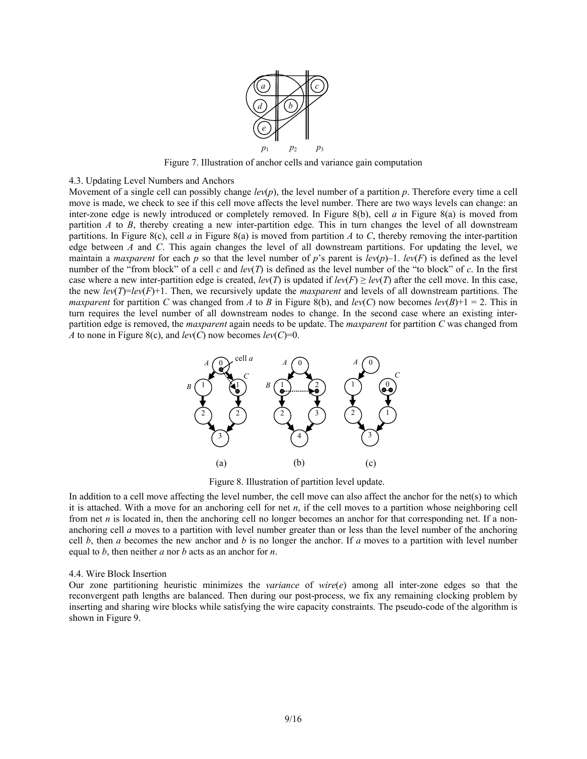

Figure 7. Illustration of anchor cells and variance gain computation

#### 4.3. Updating Level Numbers and Anchors

Movement of a single cell can possibly change *lev*(*p*), the level number of a partition *p*. Therefore every time a cell move is made, we check to see if this cell move affects the level number. There are two ways levels can change: an inter-zone edge is newly introduced or completely removed. In Figure 8(b), cell *a* in Figure 8(a) is moved from partition *A* to *B*, thereby creating a new inter-partition edge. This in turn changes the level of all downstream partitions. In Figure 8(c), cell *a* in Figure 8(a) is moved from partition *A* to *C*, thereby removing the inter-partition edge between *A* and *C*. This again changes the level of all downstream partitions. For updating the level, we maintain a *maxparent* for each *p* so that the level number of *p*'s parent is  $lev(p)-1$ .  $lev(F)$  is defined as the level number of the "from block" of a cell *c* and *lev*(*T*) is defined as the level number of the "to block" of *c*. In the first case where a new inter-partition edge is created,  $lev(T)$  is updated if  $lev(F) \geq lev(T)$  after the cell move. In this case, the new *lev*(*T*)=*lev*(*F*)+1. Then, we recursively update the *maxparent* and levels of all downstream partitions. The *maxparent* for partition *C* was changed from *A* to *B* in Figure 8(b), and *lev*(*C*) now becomes  $lev(B)+1 = 2$ . This in turn requires the level number of all downstream nodes to change. In the second case where an existing interpartition edge is removed, the *maxparent* again needs to be update. The *maxparent* for partition *C* was changed from *A* to none in Figure 8(c), and *lev*(*C*) now becomes *lev*(*C*)=0.



Figure 8. Illustration of partition level update.

In addition to a cell move affecting the level number, the cell move can also affect the anchor for the net(s) to which it is attached. With a move for an anchoring cell for net *n*, if the cell moves to a partition whose neighboring cell from net *n* is located in, then the anchoring cell no longer becomes an anchor for that corresponding net. If a nonanchoring cell *a* moves to a partition with level number greater than or less than the level number of the anchoring cell  $b$ , then  $a$  becomes the new anchor and  $b$  is no longer the anchor. If  $a$  moves to a partition with level number equal to *b*, then neither *a* nor *b* acts as an anchor for *n*.

#### 4.4. Wire Block Insertion

Our zone partitioning heuristic minimizes the *variance* of *wire*(*e*) among all inter-zone edges so that the reconvergent path lengths are balanced. Then during our post-process, we fix any remaining clocking problem by inserting and sharing wire blocks while satisfying the wire capacity constraints. The pseudo-code of the algorithm is shown in Figure 9.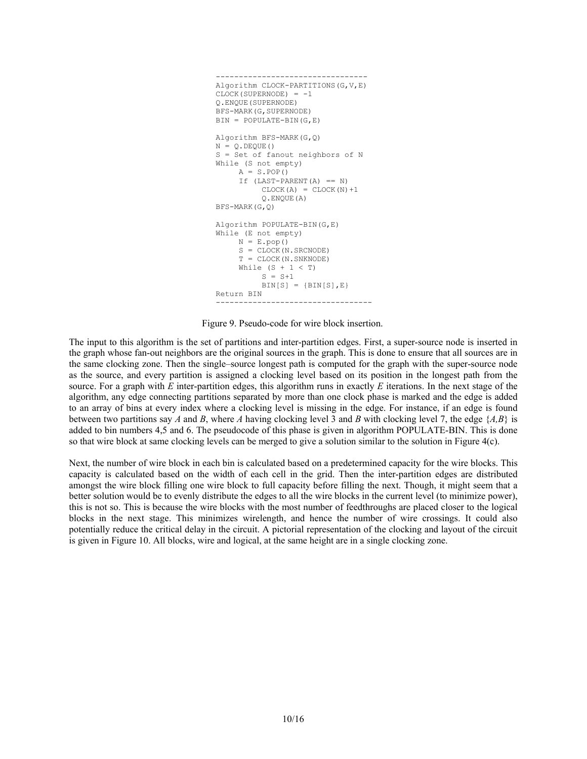```
 --------------------------------- 
 Algorithm CLOCK-PARTITIONS(G,V,E) 
CLOCK(SUPERNODE) = -1 Q.ENQUE(SUPERNODE) 
 BFS-MARK(G,SUPERNODE) 
RIN = POPIILATER-RTN(G, E) Algorithm BFS-MARK(G,Q) 
N = Q.DEQUE() S = Set of fanout neighbors of N 
 While (S not empty) 
     A = S.POP() If (LAST-PARENT(A) == N) 
          CLOCK(A) = CLOCK(N)+1O. ENOUE (A) BFS-MARK(G,Q) 
 Algorithm POPULATE-BIN(G,E) 
 While (E not empty) 
     N = E.pop() S = CLOCK(N.SRCNODE) 
      T = CLOCK(N.SNKNODE) 
     While (S + 1 < T)S = S + 1BIN[S] = {BIN[S], E} Return BIN 
 ----------------------------------
```
Figure 9. Pseudo-code for wire block insertion.

The input to this algorithm is the set of partitions and inter-partition edges. First, a super-source node is inserted in the graph whose fan-out neighbors are the original sources in the graph. This is done to ensure that all sources are in the same clocking zone. Then the single–source longest path is computed for the graph with the super-source node as the source, and every partition is assigned a clocking level based on its position in the longest path from the source. For a graph with *E* inter-partition edges, this algorithm runs in exactly *E* iterations. In the next stage of the algorithm, any edge connecting partitions separated by more than one clock phase is marked and the edge is added to an array of bins at every index where a clocking level is missing in the edge. For instance, if an edge is found between two partitions say *A* and *B*, where *A* having clocking level 3 and *B* with clocking level 7, the edge {*A,B*} is added to bin numbers 4,5 and 6. The pseudocode of this phase is given in algorithm POPULATE-BIN. This is done so that wire block at same clocking levels can be merged to give a solution similar to the solution in Figure 4(c).

Next, the number of wire block in each bin is calculated based on a predetermined capacity for the wire blocks. This capacity is calculated based on the width of each cell in the grid. Then the inter-partition edges are distributed amongst the wire block filling one wire block to full capacity before filling the next. Though, it might seem that a better solution would be to evenly distribute the edges to all the wire blocks in the current level (to minimize power), this is not so. This is because the wire blocks with the most number of feedthroughs are placed closer to the logical blocks in the next stage. This minimizes wirelength, and hence the number of wire crossings. It could also potentially reduce the critical delay in the circuit. A pictorial representation of the clocking and layout of the circuit is given in Figure 10. All blocks, wire and logical, at the same height are in a single clocking zone.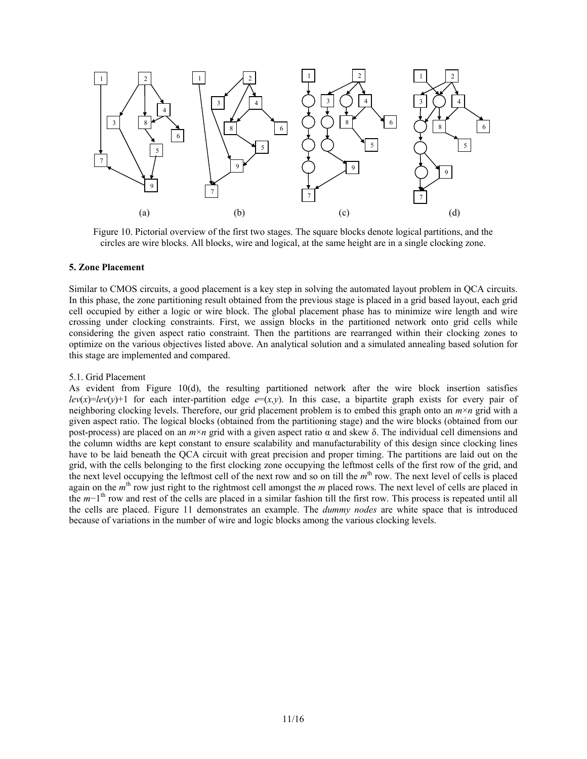

Figure 10. Pictorial overview of the first two stages. The square blocks denote logical partitions, and the circles are wire blocks. All blocks, wire and logical, at the same height are in a single clocking zone.

#### **5. Zone Placement**

Similar to CMOS circuits, a good placement is a key step in solving the automated layout problem in QCA circuits. In this phase, the zone partitioning result obtained from the previous stage is placed in a grid based layout, each grid cell occupied by either a logic or wire block. The global placement phase has to minimize wire length and wire crossing under clocking constraints. First, we assign blocks in the partitioned network onto grid cells while considering the given aspect ratio constraint. Then the partitions are rearranged within their clocking zones to optimize on the various objectives listed above. An analytical solution and a simulated annealing based solution for this stage are implemented and compared.

#### 5.1. Grid Placement

As evident from Figure 10(d), the resulting partitioned network after the wire block insertion satisfies  $lev(x)=lev(y)+1$  for each inter-partition edge  $e=(x,y)$ . In this case, a bipartite graph exists for every pair of neighboring clocking levels. Therefore, our grid placement problem is to embed this graph onto an *m*×*n* grid with a given aspect ratio. The logical blocks (obtained from the partitioning stage) and the wire blocks (obtained from our post-process) are placed on an *m*×*n* grid with a given aspect ratio α and skew δ. The individual cell dimensions and the column widths are kept constant to ensure scalability and manufacturability of this design since clocking lines have to be laid beneath the QCA circuit with great precision and proper timing. The partitions are laid out on the grid, with the cells belonging to the first clocking zone occupying the leftmost cells of the first row of the grid, and the next level occupying the leftmost cell of the next row and so on till the  $m<sup>th</sup>$  row. The next level of cells is placed again on the  $m<sup>th</sup>$  row just right to the rightmost cell amongst the  $m$  placed rows. The next level of cells are placed in the *m*−1<sup>th</sup> row and rest of the cells are placed in a similar fashion till the first row. This process is repeated until all the cells are placed. Figure 11 demonstrates an example. The *dummy nodes* are white space that is introduced because of variations in the number of wire and logic blocks among the various clocking levels.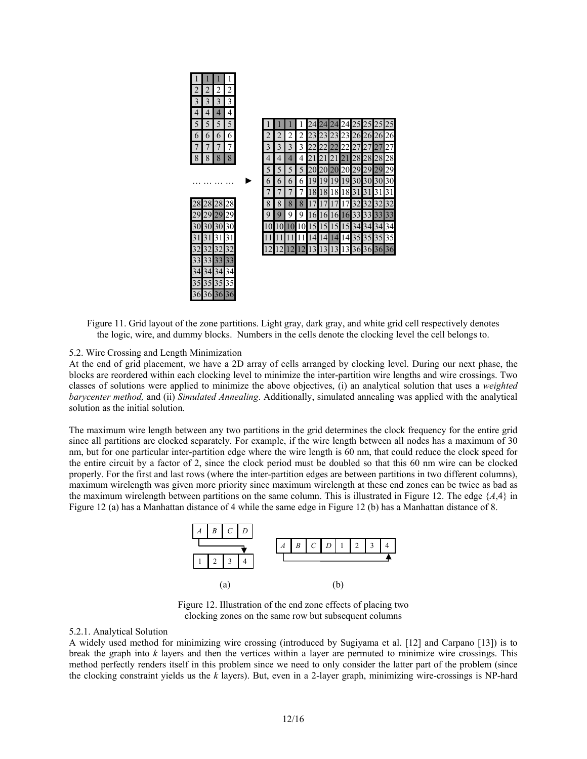

Figure 11. Grid layout of the zone partitions. Light gray, dark gray, and white grid cell respectively denotes the logic, wire, and dummy blocks. Numbers in the cells denote the clocking level the cell belongs to.

# 5.2. Wire Crossing and Length Minimization

At the end of grid placement, we have a 2D array of cells arranged by clocking level. During our next phase, the blocks are reordered within each clocking level to minimize the inter-partition wire lengths and wire crossings. Two classes of solutions were applied to minimize the above objectives, (i) an analytical solution that uses a *weighted barycenter method,* and (ii) *Simulated Annealing*. Additionally, simulated annealing was applied with the analytical solution as the initial solution.

The maximum wire length between any two partitions in the grid determines the clock frequency for the entire grid since all partitions are clocked separately. For example, if the wire length between all nodes has a maximum of 30 nm, but for one particular inter-partition edge where the wire length is 60 nm, that could reduce the clock speed for the entire circuit by a factor of 2, since the clock period must be doubled so that this 60 nm wire can be clocked properly. For the first and last rows (where the inter-partition edges are between partitions in two different columns), maximum wirelength was given more priority since maximum wirelength at these end zones can be twice as bad as the maximum wirelength between partitions on the same column. This is illustrated in Figure 12. The edge {*A*,4} in Figure 12 (a) has a Manhattan distance of 4 while the same edge in Figure 12 (b) has a Manhattan distance of 8.



Figure 12. Illustration of the end zone effects of placing two clocking zones on the same row but subsequent columns

#### 5.2.1. Analytical Solution

A widely used method for minimizing wire crossing (introduced by Sugiyama et al. [12] and Carpano [13]) is to break the graph into *k* layers and then the vertices within a layer are permuted to minimize wire crossings. This method perfectly renders itself in this problem since we need to only consider the latter part of the problem (since the clocking constraint yields us the *k* layers). But, even in a 2-layer graph, minimizing wire-crossings is NP-hard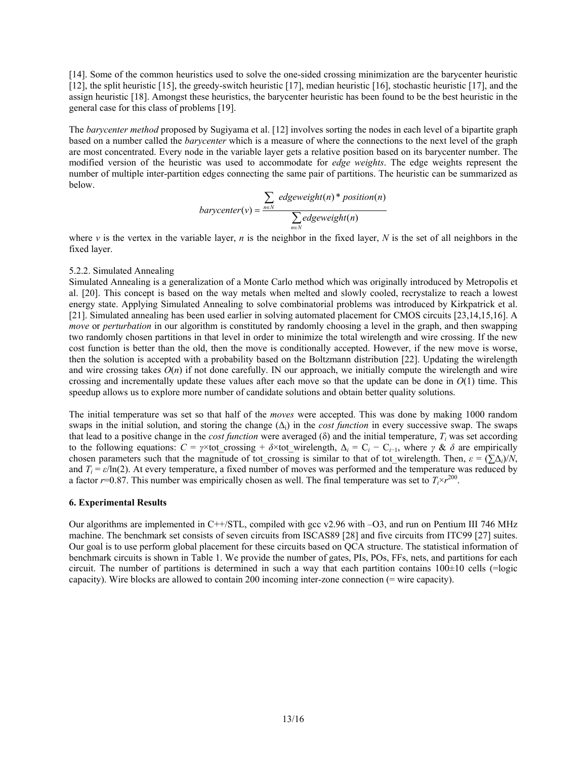[14]. Some of the common heuristics used to solve the one-sided crossing minimization are the barycenter heuristic [12], the split heuristic [15], the greedy-switch heuristic [17], median heuristic [16], stochastic heuristic [17], and the assign heuristic [18]. Amongst these heuristics, the barycenter heuristic has been found to be the best heuristic in the general case for this class of problems [19].

The *barycenter method* proposed by Sugiyama et al. [12] involves sorting the nodes in each level of a bipartite graph based on a number called the *barycenter* which is a measure of where the connections to the next level of the graph are most concentrated. Every node in the variable layer gets a relative position based on its barycenter number. The modified version of the heuristic was used to accommodate for *edge weights*. The edge weights represent the number of multiple inter-partition edges connecting the same pair of partitions. The heuristic can be summarized as below.

$$
barycenter(v) = \frac{\sum_{n \in N} edgeweight(n) * position(n)}{\sum_{n \in N} edgeweight(n)}
$$

where *v* is the vertex in the variable layer, *n* is the neighbor in the fixed layer, *N* is the set of all neighbors in the fixed layer.

## 5.2.2. Simulated Annealing

Simulated Annealing is a generalization of a Monte Carlo method which was originally introduced by Metropolis et al. [20]. This concept is based on the way metals when melted and slowly cooled, recrystalize to reach a lowest energy state. Applying Simulated Annealing to solve combinatorial problems was introduced by Kirkpatrick et al. [21]. Simulated annealing has been used earlier in solving automated placement for CMOS circuits [23,14,15,16]. A *move* or *perturbation* in our algorithm is constituted by randomly choosing a level in the graph, and then swapping two randomly chosen partitions in that level in order to minimize the total wirelength and wire crossing. If the new cost function is better than the old, then the move is conditionally accepted. However, if the new move is worse, then the solution is accepted with a probability based on the Boltzmann distribution [22]. Updating the wirelength and wire crossing takes  $O(n)$  if not done carefully. IN our approach, we initially compute the wirelength and wire crossing and incrementally update these values after each move so that the update can be done in  $O(1)$  time. This speedup allows us to explore more number of candidate solutions and obtain better quality solutions.

The initial temperature was set so that half of the *moves* were accepted. This was done by making 1000 random swaps in the initial solution, and storing the change  $(\Delta_i)$  in the *cost function* in every successive swap. The swaps that lead to a positive change in the *cost function* were averaged ( $\delta$ ) and the initial temperature,  $T_i$  was set according to the following equations:  $C = \gamma \times \text{tot}$  crossing +  $\delta \times \text{tot}$  wirelength,  $\Delta_i = C_i - C_{i-1}$ , where  $\gamma \& \delta$  are empirically chosen parameters such that the magnitude of tot crossing is similar to that of tot wirelength. Then,  $\varepsilon = (\sum \Delta_i)/N$ , and  $T_i = \varepsilon / \ln(2)$ . At every temperature, a fixed number of moves was performed and the temperature was reduced by a factor  $r=0.87$ . This number was empirically chosen as well. The final temperature was set to  $T_i \times r^{200}$ .

# **6. Experimental Results**

Our algorithms are implemented in C++/STL, compiled with gcc v2.96 with –O3, and run on Pentium III 746 MHz machine. The benchmark set consists of seven circuits from ISCAS89 [28] and five circuits from ITC99 [27] suites. Our goal is to use perform global placement for these circuits based on QCA structure. The statistical information of benchmark circuits is shown in Table 1. We provide the number of gates, PIs, POs, FFs, nets, and partitions for each circuit. The number of partitions is determined in such a way that each partition contains  $100±10$  cells (=logic capacity). Wire blocks are allowed to contain 200 incoming inter-zone connection (= wire capacity).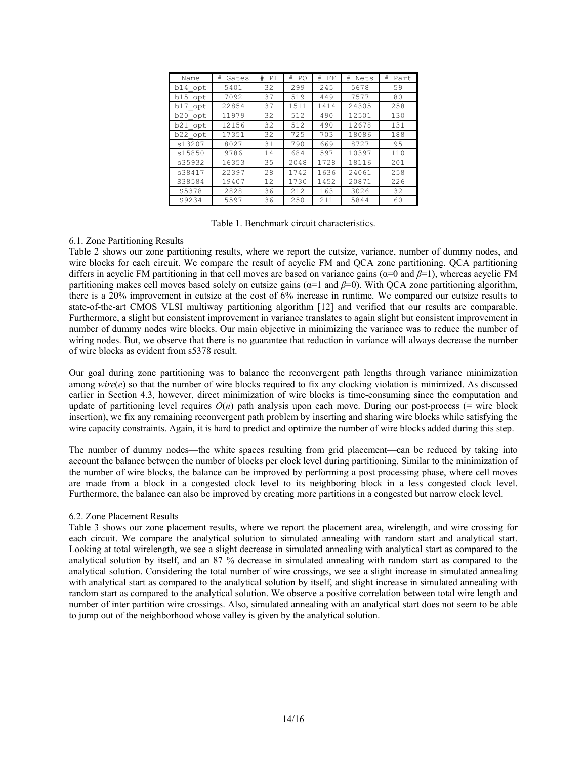| Name       | #<br>Gates | #<br>ΡI | #<br>P0 | $_{\rm \#}$<br>FF | #<br>Nets | #<br>Part |
|------------|------------|---------|---------|-------------------|-----------|-----------|
| b14<br>opt | 5401       | 32      | 299     | 245               | 5678      | 59        |
| b15<br>opt | 7092       | 37      | 519     | 449               | 7577      | 80        |
| b17<br>opt | 22854      | 37      | 1511    | 1414              | 24305     | 258       |
| b20<br>opt | 11979      | 32      | 512     | 490               | 12501     | 130       |
| b21<br>opt | 12156      | 32      | 512     | 490               | 12678     | 131       |
| b22<br>opt | 17351      | 32      | 725     | 703               | 18086     | 188       |
| s13207     | 8027       | 31      | 790     | 669               | 8727      | 95        |
| s15850     | 9786       | 14      | 684     | 597               | 10397     | 110       |
| s35932     | 16353      | 35      | 2048    | 1728              | 18116     | 201       |
| s38417     | 22397      | 28      | 1742    | 1636              | 24061     | 258       |
| S38584     | 19407      | 12      | 1730    | 1452              | 20871     | 226       |
| S5378      | 2828       | 36      | 2.12    | 163               | 3026      | 32        |
| S9234      | 5597       | 36      | 250     | 211               | 5844      | 60        |

Table 1. Benchmark circuit characteristics.

# 6.1. Zone Partitioning Results

Table 2 shows our zone partitioning results, where we report the cutsize, variance, number of dummy nodes, and wire blocks for each circuit. We compare the result of acyclic FM and QCA zone partitioning. QCA partitioning differs in acyclic FM partitioning in that cell moves are based on variance gains (α=0 and *β*=1), whereas acyclic FM partitioning makes cell moves based solely on cutsize gains (α=1 and *β*=0). With QCA zone partitioning algorithm, there is a 20% improvement in cutsize at the cost of 6% increase in runtime. We compared our cutsize results to state-of-the-art CMOS VLSI multiway partitioning algorithm [12] and verified that our results are comparable. Furthermore, a slight but consistent improvement in variance translates to again slight but consistent improvement in number of dummy nodes wire blocks. Our main objective in minimizing the variance was to reduce the number of wiring nodes. But, we observe that there is no guarantee that reduction in variance will always decrease the number of wire blocks as evident from s5378 result.

Our goal during zone partitioning was to balance the reconvergent path lengths through variance minimization among *wire*(*e*) so that the number of wire blocks required to fix any clocking violation is minimized. As discussed earlier in Section 4.3, however, direct minimization of wire blocks is time-consuming since the computation and update of partitioning level requires  $O(n)$  path analysis upon each move. During our post-process (= wire block insertion), we fix any remaining reconvergent path problem by inserting and sharing wire blocks while satisfying the wire capacity constraints. Again, it is hard to predict and optimize the number of wire blocks added during this step.

The number of dummy nodes—the white spaces resulting from grid placement—can be reduced by taking into account the balance between the number of blocks per clock level during partitioning. Similar to the minimization of the number of wire blocks, the balance can be improved by performing a post processing phase, where cell moves are made from a block in a congested clock level to its neighboring block in a less congested clock level. Furthermore, the balance can also be improved by creating more partitions in a congested but narrow clock level.

# 6.2. Zone Placement Results

Table 3 shows our zone placement results, where we report the placement area, wirelength, and wire crossing for each circuit. We compare the analytical solution to simulated annealing with random start and analytical start. Looking at total wirelength, we see a slight decrease in simulated annealing with analytical start as compared to the analytical solution by itself, and an 87 % decrease in simulated annealing with random start as compared to the analytical solution. Considering the total number of wire crossings, we see a slight increase in simulated annealing with analytical start as compared to the analytical solution by itself, and slight increase in simulated annealing with random start as compared to the analytical solution. We observe a positive correlation between total wire length and number of inter partition wire crossings. Also, simulated annealing with an analytical start does not seem to be able to jump out of the neighborhood whose valley is given by the analytical solution.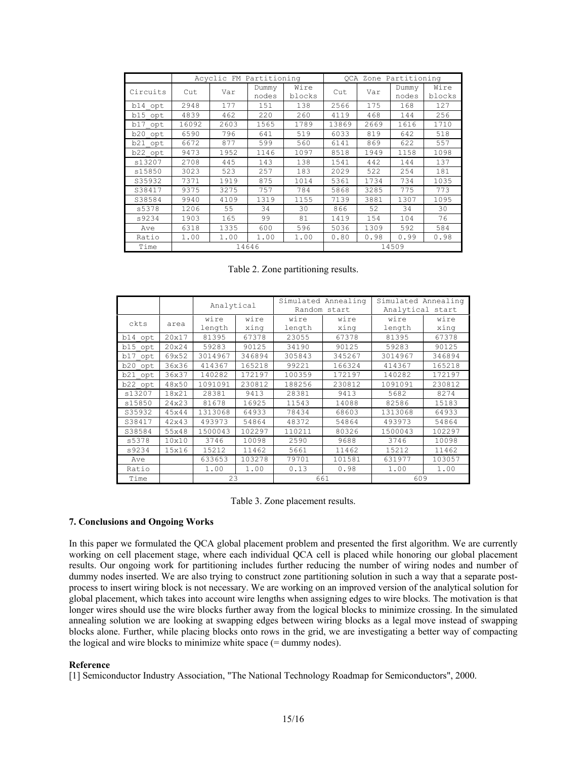|            | Acyclic FM Partitioning |      |                |                | OCA Zone Partitioning |      |                |                |
|------------|-------------------------|------|----------------|----------------|-----------------------|------|----------------|----------------|
| Circuits   | Cut                     | Var  | Dummy<br>nodes | Wire<br>blocks | Cut                   | Var  | Dummy<br>nodes | Wire<br>blocks |
| b14<br>opt | 2948                    | 177  | 151            | 138            | 2566                  | 175  | 168            | 127            |
| b15<br>opt | 4839                    | 462  | 220            | 260            | 4119                  | 468  | 144            | 256            |
| b17<br>opt | 16092                   | 2603 | 1565           | 1789           | 13869                 | 2669 | 1616           | 1710           |
| b20<br>opt | 6590                    | 796  | 641            | 519            | 6033                  | 819  | 642            | 518            |
| b21 opt    | 6672                    | 877  | 599            | 560            | 6141                  | 869  | 622            | 557            |
| b22 opt    | 9473                    | 1952 | 1146           | 1097           | 8518                  | 1949 | 1158           | 1098           |
| s13207     | 2708                    | 445  | 143            | 138            | 1541                  | 442  | 144            | 137            |
| s15850     | 3023                    | 523  | 257            | 183            | 2029                  | 522  | 254            | 181            |
| S35932     | 7371                    | 1919 | 875            | 1014           | 5361                  | 1734 | 734            | 1035           |
| S38417     | 9375                    | 3275 | 757            | 784            | 5868                  | 3285 | 775            | 773            |
| S38584     | 9940                    | 4109 | 1319           | 1155           | 7139                  | 3881 | 1307           | 1095           |
| s5378      | 1206                    | 55   | 34             | 30             | 866                   | 52   | 34             | 30             |
| s9234      | 1903                    | 165  | 99             | 81             | 1419                  | 154  | 104            | 76             |
| Ave        | 6318                    | 1335 | 600            | 596            | 5036                  | 1309 | 592            | 584            |
| Ratio      | 1.00                    | 1.00 | 1.00           | 1.00           | 0.80                  | 0.98 | 0.99           | 0.98           |
| Time       | 14646                   |      |                | 14509          |                       |      |                |                |

Table 2. Zone partitioning results.

|            |       | Analytical |        | Simulated Annealing |        | Simulated Annealing |        |
|------------|-------|------------|--------|---------------------|--------|---------------------|--------|
|            |       |            |        | Random start        |        | Analytical start    |        |
| ckts       |       | wire       | wire   | wire                | wire   | wire                | wire   |
|            | area  | length     | xing   | length              | xing   | length              | xing   |
| b14<br>opt | 20x17 | 81395      | 67378  | 23055               | 67378  | 81395               | 67378  |
| b15<br>opt | 20x24 | 59283      | 90125  | 34190               | 90125  | 59283               | 90125  |
| b17<br>opt | 69x52 | 3014967    | 346894 | 305843              | 345267 | 3014967             | 346894 |
| b20<br>opt | 36x36 | 414367     | 165218 | 99221               | 166324 | 414367              | 165218 |
| b21<br>opt | 36x37 | 140282     | 172197 | 100359              | 172197 | 140282              | 172197 |
| b22 opt    | 48x50 | 1091091    | 230812 | 188256              | 230812 | 1091091             | 230812 |
| s13207     | 18x21 | 28381      | 9413   | 28381               | 9413   | 5682                | 8274   |
| s15850     | 24x23 | 81678      | 16925  | 11543               | 14088  | 82586               | 15183  |
| S35932     | 45x44 | 1313068    | 64933  | 78434               | 68603  | 1313068             | 64933  |
| S38417     | 42x43 | 493973     | 54864  | 48372               | 54864  | 493973              | 54864  |
| S38584     | 55x48 | 1500043    | 102297 | 110211              | 80326  | 1500043             | 102297 |
| s5378      | 10x10 | 3746       | 10098  | 2590                | 9688   | 3746                | 10098  |
| s9234      | 15x16 | 15212      | 11462  | 5661                | 11462  | 15212               | 11462  |
| Ave        |       | 633653     | 103278 | 79701               | 101581 | 631977              | 103057 |
| Ratio      |       | 1.00       | 1.00   | 0.13                | 0.98   | 1.00                | 1.00   |
| Time       |       | 23         |        | 661                 |        | 609                 |        |

|  |  | Table 3. Zone placement results. |
|--|--|----------------------------------|
|--|--|----------------------------------|

# **7. Conclusions and Ongoing Works**

In this paper we formulated the QCA global placement problem and presented the first algorithm. We are currently working on cell placement stage, where each individual QCA cell is placed while honoring our global placement results. Our ongoing work for partitioning includes further reducing the number of wiring nodes and number of dummy nodes inserted. We are also trying to construct zone partitioning solution in such a way that a separate postprocess to insert wiring block is not necessary. We are working on an improved version of the analytical solution for global placement, which takes into account wire lengths when assigning edges to wire blocks. The motivation is that longer wires should use the wire blocks further away from the logical blocks to minimize crossing. In the simulated annealing solution we are looking at swapping edges between wiring blocks as a legal move instead of swapping blocks alone. Further, while placing blocks onto rows in the grid, we are investigating a better way of compacting the logical and wire blocks to minimize white space (= dummy nodes).

#### **Reference**

[1] Semiconductor Industry Association, "The National Technology Roadmap for Semiconductors", 2000.